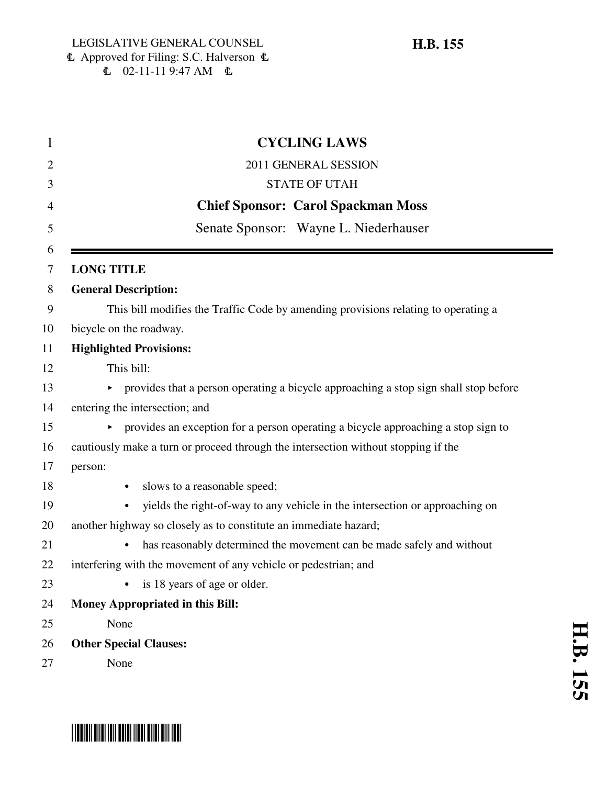|         | <b>CYCLING LAWS</b>                                                                        |
|---------|--------------------------------------------------------------------------------------------|
|         | 2011 GENERAL SESSION                                                                       |
|         | <b>STATE OF UTAH</b>                                                                       |
|         | <b>Chief Sponsor: Carol Spackman Moss</b>                                                  |
|         | Senate Sponsor: Wayne L. Niederhauser                                                      |
|         |                                                                                            |
|         | <b>LONG TITLE</b>                                                                          |
|         | <b>General Description:</b>                                                                |
|         | This bill modifies the Traffic Code by amending provisions relating to operating a         |
|         | bicycle on the roadway.                                                                    |
|         | <b>Highlighted Provisions:</b>                                                             |
|         | This bill:                                                                                 |
|         | provides that a person operating a bicycle approaching a stop sign shall stop before<br>▶. |
|         | entering the intersection; and                                                             |
|         | provides an exception for a person operating a bicycle approaching a stop sign to          |
|         | cautiously make a turn or proceed through the intersection without stopping if the         |
| person: |                                                                                            |
|         | slows to a reasonable speed;                                                               |
|         | yields the right-of-way to any vehicle in the intersection or approaching on<br>$\bullet$  |
|         | another highway so closely as to constitute an immediate hazard;                           |
|         | has reasonably determined the movement can be made safely and without                      |
|         | interfering with the movement of any vehicle or pedestrian; and                            |
|         | is 18 years of age or older.                                                               |
|         | <b>Money Appropriated in this Bill:</b>                                                    |
|         | None                                                                                       |
|         | <b>Other Special Clauses:</b>                                                              |
|         | None                                                                                       |



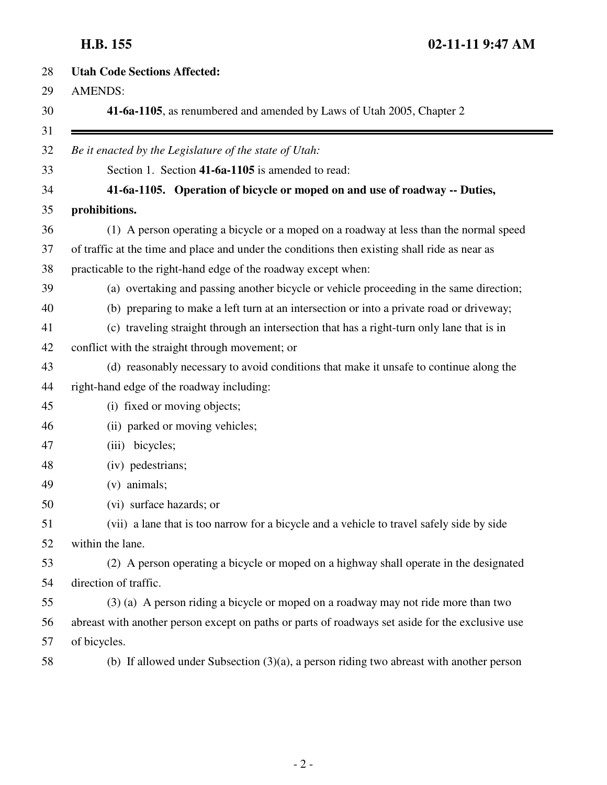| <b>Utah Code Sections Affected:</b>                                                              |
|--------------------------------------------------------------------------------------------------|
| <b>AMENDS:</b>                                                                                   |
| 41-6a-1105, as renumbered and amended by Laws of Utah 2005, Chapter 2                            |
| Be it enacted by the Legislature of the state of Utah:                                           |
| Section 1. Section 41-6a-1105 is amended to read:                                                |
| 41-6a-1105. Operation of bicycle or moped on and use of roadway -- Duties,                       |
| prohibitions.                                                                                    |
| (1) A person operating a bicycle or a moped on a roadway at less than the normal speed           |
| of traffic at the time and place and under the conditions then existing shall ride as near as    |
| practicable to the right-hand edge of the roadway except when:                                   |
| (a) overtaking and passing another bicycle or vehicle proceeding in the same direction;          |
| (b) preparing to make a left turn at an intersection or into a private road or driveway;         |
| (c) traveling straight through an intersection that has a right-turn only lane that is in        |
| conflict with the straight through movement; or                                                  |
| (d) reasonably necessary to avoid conditions that make it unsafe to continue along the           |
| right-hand edge of the roadway including:                                                        |
| (i) fixed or moving objects;                                                                     |
| (ii) parked or moving vehicles;                                                                  |
| (iii) bicycles;                                                                                  |
| (iv) pedestrians;                                                                                |
| $(v)$ animals;                                                                                   |
| (vi) surface hazards; or                                                                         |
| (vii) a lane that is too narrow for a bicycle and a vehicle to travel safely side by side        |
| within the lane.                                                                                 |
| (2) A person operating a bicycle or moped on a highway shall operate in the designated           |
| direction of traffic.                                                                            |
| (3) (a) A person riding a bicycle or moped on a roadway may not ride more than two               |
| abreast with another person except on paths or parts of roadways set aside for the exclusive use |
| of bicycles.                                                                                     |
| (b) If allowed under Subsection $(3)(a)$ , a person riding two abreast with another person       |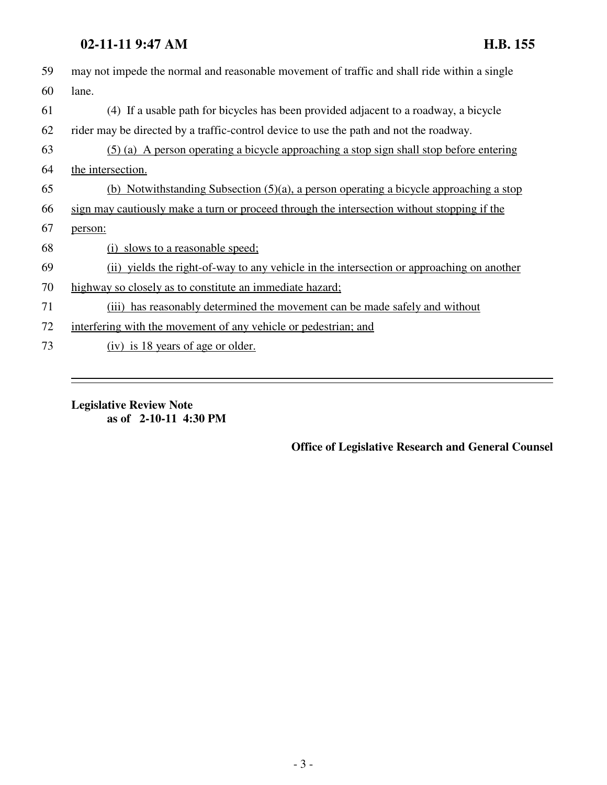### **02-11-11 9:47 AM H.B. 155**

| 59 | may not impede the normal and reasonable movement of traffic and shall ride within a single |
|----|---------------------------------------------------------------------------------------------|
| 60 | lane.                                                                                       |
| 61 | (4) If a usable path for bicycles has been provided adjacent to a roadway, a bicycle        |
| 62 | rider may be directed by a traffic-control device to use the path and not the roadway.      |
| 63 | (5) (a) A person operating a bicycle approaching a stop sign shall stop before entering     |
| 64 | the intersection.                                                                           |
| 65 | (b) Notwithstanding Subsection $(5)(a)$ , a person operating a bicycle approaching a stop   |
| 66 | sign may cautiously make a turn or proceed through the intersection without stopping if the |
| 67 | person:                                                                                     |
| 68 | (i) slows to a reasonable speed;                                                            |
| 69 | (ii) yields the right-of-way to any vehicle in the intersection or approaching on another   |
| 70 | highway so closely as to constitute an immediate hazard;                                    |
| 71 | (iii) has reasonably determined the movement can be made safely and without                 |
| 72 | interfering with the movement of any vehicle or pedestrian; and                             |
| 73 | (iv) is 18 years of age or older.                                                           |

**Legislative Review Note as of 2-10-11 4:30 PM**

### **Office of Legislative Research and General Counsel**